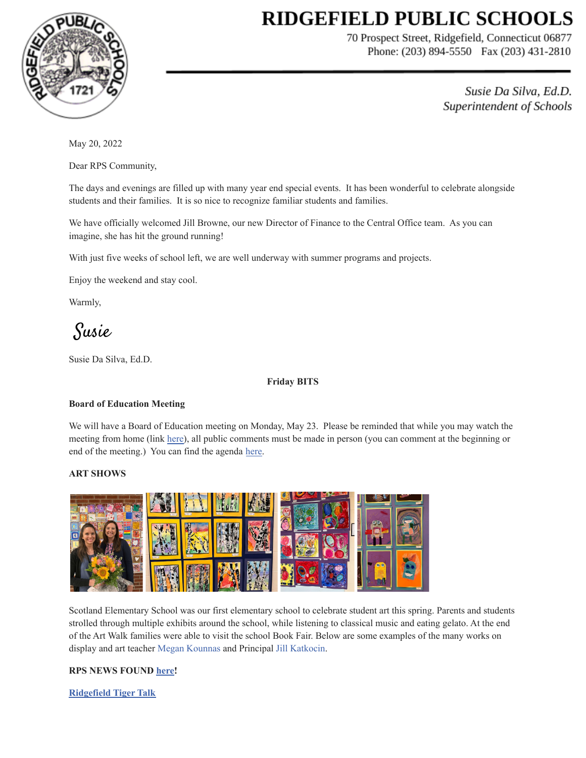# **RIDGEFIELD PUBLIC SCHOOLS**



70 Prospect Street, Ridgefield, Connecticut 06877 Phone: (203) 894-5550 Fax (203) 431-2810

> Susie Da Silva, Ed.D. Superintendent of Schools

May 20, 2022

Dear RPS Community,

The days and evenings are filled up with many year end special events. It has been wonderful to celebrate alongside students and their families. It is so nice to recognize familiar students and families.

We have officially welcomed Jill Browne, our new Director of Finance to the Central Office team. As you can imagine, she has hit the ground running!

With just five weeks of school left, we are well underway with summer programs and projects.

Enjoy the weekend and stay cool.

Warmly,

Susie

Susie Da Silva, Ed.D.

#### **Friday BITS**

#### **Board of Education Meeting**

We will have a Board of Education meeting on Monday, May 23. Please be reminded that while you may watch the meeting from home (link [here\)](https://www.youtube.com/channel/UCFK7CGQjWPQQQ05N2_2zROA), all public comments must be made in person (you can comment at the beginning or end of the meeting.) You can find the agenda [here.](https://drive.google.com/file/d/13T63oozmX-ki3lLq4y0wbD2XBt-MWfxN/view?usp=sharing)

# **ART SHOWS**



Scotland Elementary School was our first elementary school to celebrate student art this spring. Parents and students strolled through multiple exhibits around the school, while listening to classical music and eating gelato. At the end of the Art Walk families were able to visit the school Book Fair. Below are some examples of the many works on display and art teacher Megan Kounnas and Principal Jill Katkocin.

# **RPS NEWS FOUND [here](https://drive.google.com/file/d/1jD_xqeYPBx3dxpf-eHgoX-54zebof5gx/view?usp=sharing)!**

**[Ridgefield](https://sites.google.com/ridgefieldps.net/tigertalk/home) Tiger Talk**